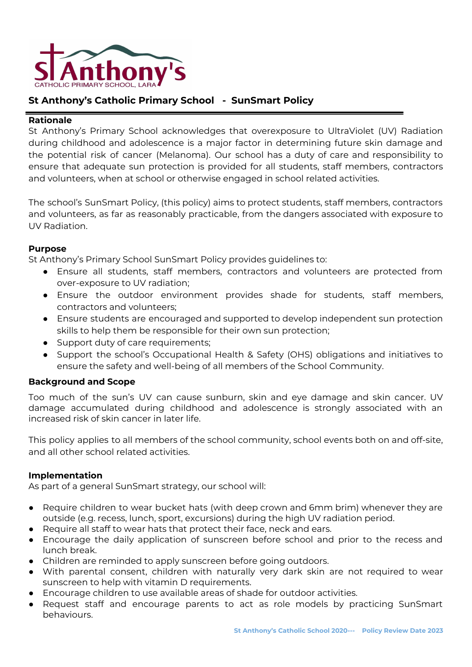

# **St Anthony's Catholic Primary School - SunSmart Policy**

#### **Rationale**

St Anthony's Primary School acknowledges that overexposure to UltraViolet (UV) Radiation during childhood and adolescence is a major factor in determining future skin damage and the potential risk of cancer (Melanoma). Our school has a duty of care and responsibility to ensure that adequate sun protection is provided for all students, staff members, contractors and volunteers, when at school or otherwise engaged in school related activities.

The school's SunSmart Policy, (this policy) aims to protect students, staff members, contractors and volunteers, as far as reasonably practicable, from the dangers associated with exposure to UV Radiation.

#### **Purpose**

St Anthony's Primary School SunSmart Policy provides guidelines to:

- Ensure all students, staff members, contractors and volunteers are protected from over-exposure to UV radiation;
- Ensure the outdoor environment provides shade for students, staff members, contractors and volunteers;
- Ensure students are encouraged and supported to develop independent sun protection skills to help them be responsible for their own sun protection;
- Support duty of care requirements;
- Support the school's Occupational Health & Safety (OHS) obligations and initiatives to ensure the safety and well-being of all members of the School Community.

### **Background and Scope**

Too much of the sun's UV can cause sunburn, skin and eye damage and skin cancer. UV damage accumulated during childhood and adolescence is strongly associated with an increased risk of skin cancer in later life.

This policy applies to all members of the school community, school events both on and off-site, and all other school related activities.

#### **Implementation**

As part of a general SunSmart strategy, our school will:

- Require children to wear bucket hats (with deep crown and 6mm brim) whenever they are outside (e.g. recess, lunch, sport, excursions) during the high UV radiation period.
- Require all staff to wear hats that protect their face, neck and ears.
- Encourage the daily application of sunscreen before school and prior to the recess and lunch break.
- Children are reminded to apply sunscreen before going outdoors.
- With parental consent, children with naturally very dark skin are not required to wear sunscreen to help with vitamin D requirements.
- Encourage children to use available areas of shade for outdoor activities.
- Request staff and encourage parents to act as role models by practicing SunSmart behaviours.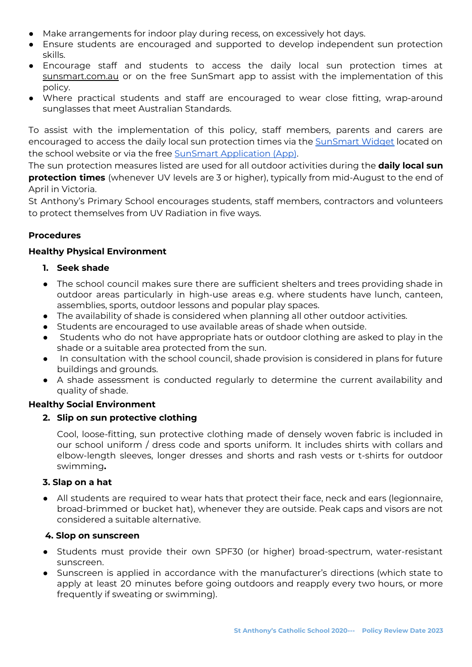- Make arrangements for indoor play during recess, on excessively hot days.
- Ensure students are encouraged and supported to develop independent sun protection skills.
- Encourage staff and students to access the daily local sun protection times at sunsmart.com.au or on the free SunSmart app to assist with the implementation of this policy.
- Where practical students and staff are encouraged to wear close fitting, wrap-around sunglasses that meet Australian Standards.

To assist with the implementation of this policy, staff members, parents and carers are encouraged to access the daily local sun protection times via the [SunSmart](http://www.sunsmart.com.au/uv-sun-protection/uv/uv-widget) Widget located on the school website or via the free [S](http://www.sunsmart.com.au/tools/interactive-tools/free-sunsmart-app)unSmart [Application](http://www.sunsmart.com.au/tools/interactive-tools/free-sunsmart-app) (App).

The sun protection measures listed are used for all outdoor activities during the **daily local sun protection times** (whenever UV levels are 3 or higher), typically from mid-August to the end of April in Victoria.

St Anthony's Primary School encourages students, staff members, contractors and volunteers to protect themselves from UV Radiation in five ways.

# **Procedures**

### **Healthy Physical Environment**

### **1. Seek shade**

- The school council makes sure there are sufficient shelters and trees providing shade in outdoor areas particularly in high-use areas e.g. where students have lunch, canteen, assemblies, sports, outdoor lessons and popular play spaces.
- The availability of shade is considered when planning all other outdoor activities.
- Students are encouraged to use available areas of shade when outside.
- Students who do not have appropriate hats or outdoor clothing are asked to play in the shade or a suitable area protected from the sun.
- In consultation with the school council, shade provision is considered in plans for future buildings and grounds.
- A shade assessment is conducted regularly to determine the current availability and quality of shade.

### **Healthy Social Environment**

### **2. Slip on** *s***un protective clothing**

Cool, loose-fitting, sun protective clothing made of densely woven fabric is included in our school uniform / dress code and sports uniform. It includes shirts with collars and elbow-length sleeves, longer dresses and shorts and rash vests or t-shirts for outdoor swimming**.**

### **3. Slap on a hat**

● All students are required to wear hats that protect their face, neck and ears (legionnaire, broad-brimmed or bucket hat), whenever they are outside. Peak caps and visors are not considered a suitable alternative.

### **4. Slop** *o***n sunscreen**

- Students must provide their own SPF30 (or higher) broad-spectrum, water-resistant sunscreen.
- Sunscreen is applied in accordance with the manufacturer's directions (which state to apply at least 20 minutes before going outdoors and reapply every two hours, or more frequently if sweating or swimming).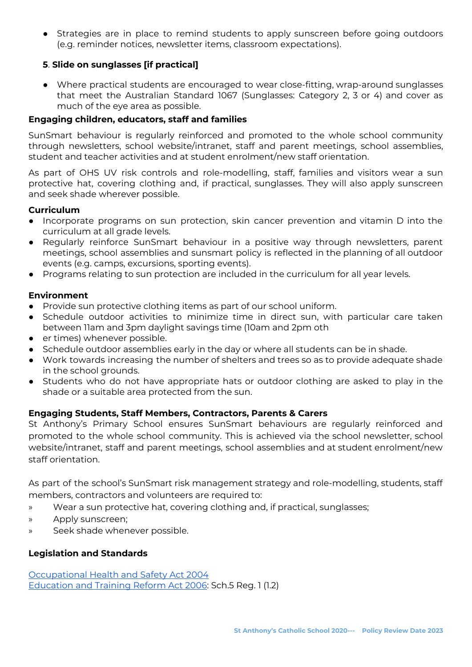● Strategies are in place to remind students to apply sunscreen before going outdoors (e.g. reminder notices, newsletter items, classroom expectations).

# **5**. **Slide on sunglasses [if practical]**

● Where practical students are encouraged to wear close-fitting, wrap-around sunglasses that meet the Australian Standard 1067 (Sunglasses: Category 2, 3 or 4) and cover as much of the eye area as possible.

# **Engaging children, educators, staff and families**

SunSmart behaviour is regularly reinforced and promoted to the whole school community through newsletters, school website/intranet, staff and parent meetings, school assemblies, student and teacher activities and at student enrolment/new staff orientation.

As part of OHS UV risk controls and role-modelling, staff, families and visitors wear a sun protective hat, covering clothing and, if practical, sunglasses. They will also apply sunscreen and seek shade wherever possible.

#### **Curriculum**

- Incorporate programs on sun protection, skin cancer prevention and vitamin D into the curriculum at all grade levels.
- Regularly reinforce SunSmart behaviour in a positive way through newsletters, parent meetings, school assemblies and sunsmart policy is reflected in the planning of all outdoor events (e.g. camps, excursions, sporting events).
- Programs relating to sun protection are included in the curriculum for all year levels.

#### **Environment**

- Provide sun protective clothing items as part of our school uniform.
- Schedule outdoor activities to minimize time in direct sun, with particular care taken between 11am and 3pm daylight savings time (10am and 2pm oth
- er times) whenever possible.
- Schedule outdoor assemblies early in the day or where all students can be in shade.
- Work towards increasing the number of shelters and trees so as to provide adequate shade in the school grounds.
- Students who do not have appropriate hats or outdoor clothing are asked to play in the shade or a suitable area protected from the sun.

### **Engaging Students, Staff Members, Contractors, Parents & Carers**

St Anthony's Primary School ensures SunSmart behaviours are regularly reinforced and promoted to the whole school community. This is achieved via the school newsletter, school website/intranet, staff and parent meetings, school assemblies and at student enrolment/new staff orientation.

As part of the school's SunSmart risk management strategy and role-modelling, students, staff members, contractors and volunteers are required to:

- » Wear a sun protective hat, covering clothing and, if practical, sunglasses;
- » Apply sunscreen;
- » Seek shade whenever possible.

### **Legislation and Standards**

[Occupational](http://www.legislation.vic.gov.au/Domino/Web_Notes/LDMS/PubStatbook.nsf/edfb620cf7503d1aca256da4001b08af/750E0D9E0B2B387FCA256F71001FA7BE/$FILE/04-107A.pdf) Health and Safety Act 2004 [Education](http://www.education.vic.gov.au/about/department/legislation/Pages/act2006.aspx) and Training Reform Act 2006: Sch.5 Reg. 1 (1.2)